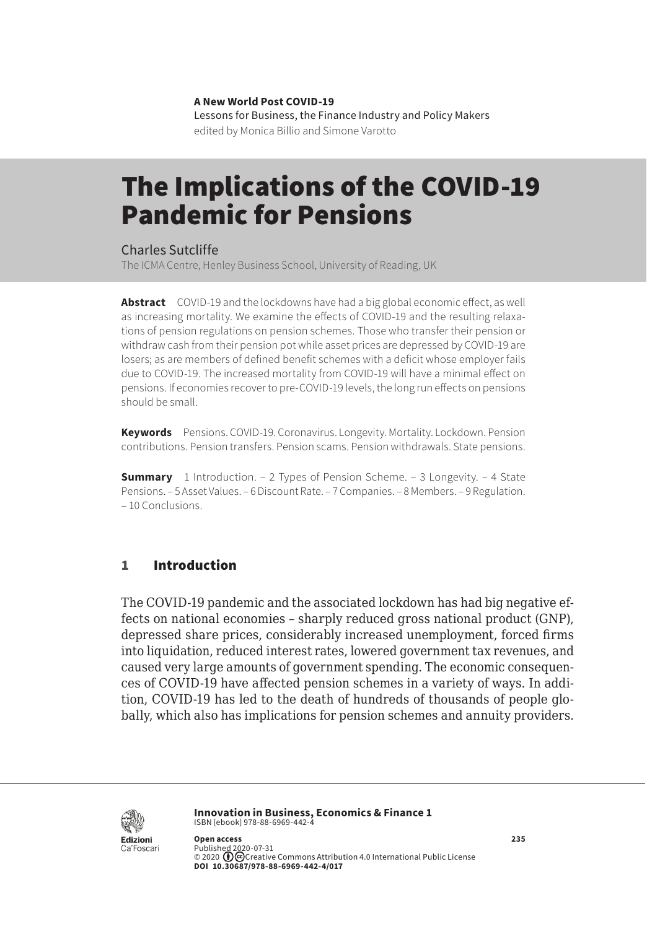**A New World Post COVID-19** Lessons for Business, the Finance Industry and Policy Makers edited by Monica Billio and Simone Varotto

# The Implications of the COVID-19 Pandemic for Pensions

Charles Sutcliffe

The ICMA Centre, Henley Business School, University of Reading, UK

**Abstract** COVID-19 and the lockdowns have had a big global economic effect, as well as increasing mortality. We examine the effects of COVID-19 and the resulting relaxations of pension regulations on pension schemes. Those who transfer their pension or withdraw cash from their pension pot while asset prices are depressed by COVID-19 are losers; as are members of defined benefit schemes with a deficit whose employer fails due to COVID-19. The increased mortality from COVID-19 will have a minimal effect on pensions. If economies recover to pre-COVID-19 levels, the long run effects on pensions should be small.

**Keywords** Pensions. COVID-19. Coronavirus. Longevity. Mortality. Lockdown. Pension contributions. Pension transfers. Pension scams. Pension withdrawals. State pensions.

**Summary** 1 Introduction. – [2 Types of Pension Scheme.](#page-1-0) – [3 Longevity.](#page-1-0) – 4 State [Pensions.](#page-2-0) – [5 Asset Values.](#page-3-0) – [6 Discount Rate](#page-5-0). – [7 Companies](#page-5-0). – [8 Members.](#page-6-0) – [9 Regulation.](#page-7-0) – [10 Conclusions](#page-7-0).

# 1 Introduction

The COVID-19 pandemic and the associated lockdown has had big negative effects on national economies – sharply reduced gross national product (GNP), depressed share prices, considerably increased unemployment, forced firms into liquidation, reduced interest rates, lowered government tax revenues, and caused very large amounts of government spending. The economic consequences of COVID-19 have affected pension schemes in a variety of ways. In addition, COVID-19 has led to the death of hundreds of thousands of people globally, which also has implications for pension schemes and annuity providers.



**Innovation in Business, Economics & Finance 1** ISBN [ebook] 978-88-6969-442-4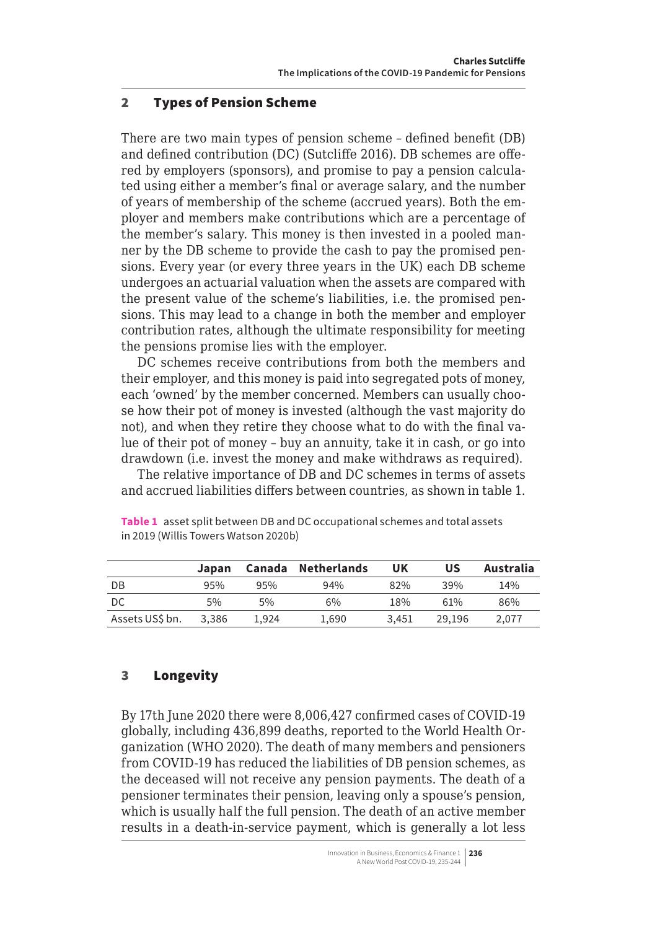## <span id="page-1-0"></span>2 Types of Pension Scheme

There are two main types of pension scheme – defined benefit (DB) and defined contribution (DC) (Sutcliffe 2016). DB schemes are offered by employers (sponsors), and promise to pay a pension calculated using either a member's final or average salary, and the number of years of membership of the scheme (accrued years). Both the employer and members make contributions which are a percentage of the member's salary. This money is then invested in a pooled manner by the DB scheme to provide the cash to pay the promised pensions. Every year (or every three years in the UK) each DB scheme undergoes an actuarial valuation when the assets are compared with the present value of the scheme's liabilities, i.e. the promised pensions. This may lead to a change in both the member and employer contribution rates, although the ultimate responsibility for meeting the pensions promise lies with the employer.

DC schemes receive contributions from both the members and their employer, and this money is paid into segregated pots of money, each 'owned' by the member concerned. Members can usually choose how their pot of money is invested (although the vast majority do not), and when they retire they choose what to do with the final value of their pot of money – buy an annuity, take it in cash, or go into drawdown (i.e. invest the money and make withdraws as required).

The relative importance of DB and DC schemes in terms of assets and accrued liabilities differs between countries, as shown in table 1.

|                 | Japan   |       | Canada Netherlands | UK    | บร     | Australia |
|-----------------|---------|-------|--------------------|-------|--------|-----------|
| DB              | $9.5\%$ | 9.5%  | 94%                | 82%   | 39%    | 14%       |
| DC              | 5%      | 5%    | 6%                 | 18%   | 61%    | 86%       |
| Assets US\$ bn. | 3.386   | 1.924 | 1.690              | 3.451 | 29.196 | 2.077     |

**Table 1** asset split between DB and DC occupational schemes and total assets in 2019 (Willis Towers Watson 2020b)

# 3 Longevity

By 17th June 2020 there were 8,006,427 confirmed cases of COVID-19 globally, including 436,899 deaths, reported to the World Health Organization (WHO 2020). The death of many members and pensioners from COVID-19 has reduced the liabilities of DB pension schemes, as the deceased will not receive any pension payments. The death of a pensioner terminates their pension, leaving only a spouse's pension, which is usually half the full pension. The death of an active member results in a death-in-service payment, which is generally a lot less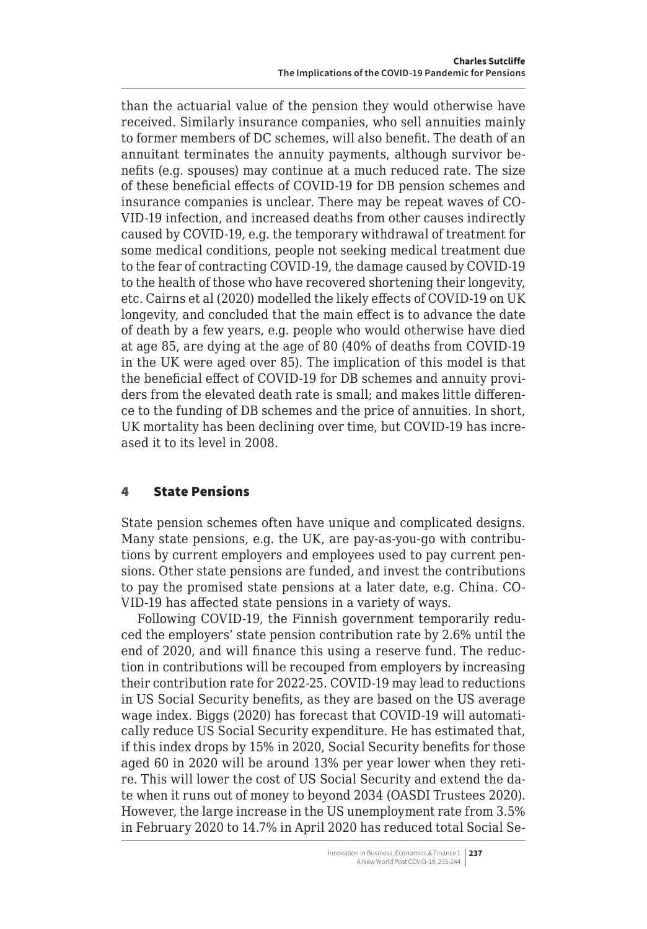<span id="page-2-0"></span>than the actuarial value of the pension they would otherwise have received. Similarly insurance companies, who sell annuities mainly to former members of DC schemes, will also benefit. The death of an annuitant terminates the annuity payments, although survivor benefits (e.g. spouses) may continue at a much reduced rate. The size of these beneficial effects of COVID-19 for DB pension schemes and insurance companies is unclear. There may be repeat waves of CO-VID-19 infection, and increased deaths from other causes indirectly caused by COVID-19, e.g. the temporary withdrawal of treatment for some medical conditions, people not seeking medical treatment due to the fear of contracting COVID-19, the damage caused by COVID-19 to the health of those who have recovered shortening their longevity, etc. Cairns et al (2020) modelled the likely effects of COVID-19 on UK longevity, and concluded that the main effect is to advance the date of death by a few years, e.g. people who would otherwise have died at age 85, are dying at the age of 80 (40% of deaths from COVID-19 in the UK were aged over 85). The implication of this model is that the beneficial effect of COVID-19 for DB schemes and annuity providers from the elevated death rate is small; and makes little difference to the funding of DB schemes and the price of annuities. In short, UK mortality has been declining over time, but COVID-19 has increased it to its level in 2008.

## 4 State Pensions

State pension schemes often have unique and complicated designs. Many state pensions, e.g. the UK, are pay-as-you-go with contributions by current employers and employees used to pay current pensions. Other state pensions are funded, and invest the contributions to pay the promised state pensions at a later date, e.g. China. CO-VID-19 has affected state pensions in a variety of ways.

Following COVID-19, the Finnish government temporarily reduced the employers' state pension contribution rate by 2.6% until the end of 2020, and will finance this using a reserve fund. The reduction in contributions will be recouped from employers by increasing their contribution rate for 2022-25. COVID-19 may lead to reductions in US Social Security benefits, as they are based on the US average wage index. Biggs (2020) has forecast that COVID-19 will automatically reduce US Social Security expenditure. He has estimated that, if this index drops by 15% in 2020, Social Security benefits for those aged 60 in 2020 will be around 13% per year lower when they retire. This will lower the cost of US Social Security and extend the date when it runs out of money to beyond 2034 (OASDI Trustees 2020). However, the large increase in the US unemployment rate from 3.5% in February 2020 to 14.7% in April 2020 has reduced total Social Se-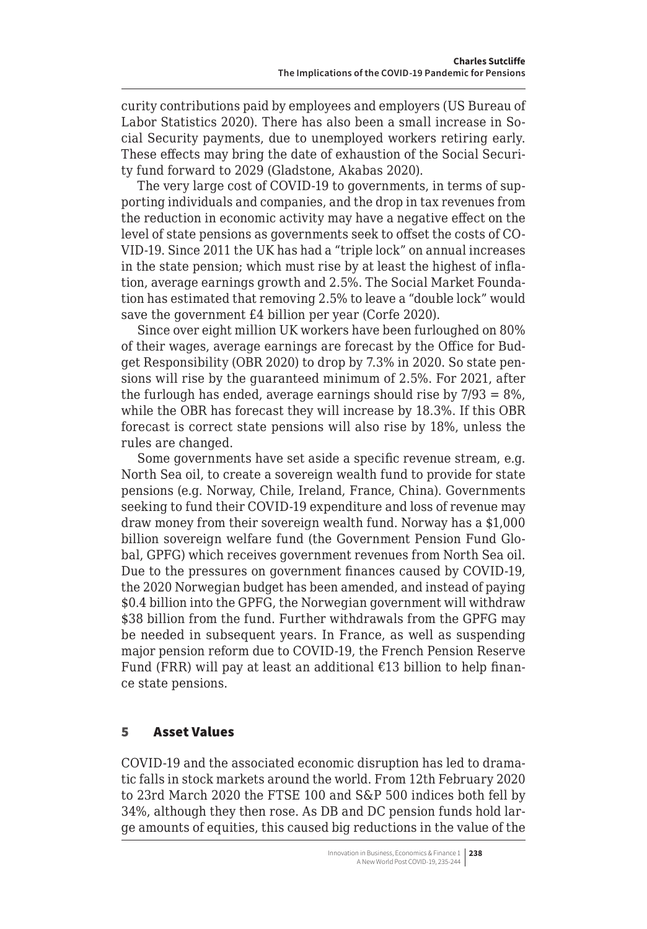<span id="page-3-0"></span>curity contributions paid by employees and employers (US Bureau of Labor Statistics 2020). There has also been a small increase in Social Security payments, due to unemployed workers retiring early. These effects may bring the date of exhaustion of the Social Security fund forward to 2029 (Gladstone, Akabas 2020).

The very large cost of COVID-19 to governments, in terms of supporting individuals and companies, and the drop in tax revenues from the reduction in economic activity may have a negative effect on the level of state pensions as governments seek to offset the costs of CO-VID-19. Since 2011 the UK has had a "triple lock" on annual increases in the state pension; which must rise by at least the highest of inflation, average earnings growth and 2.5%. The Social Market Foundation has estimated that removing 2.5% to leave a "double lock" would save the government £4 billion per year (Corfe 2020).

Since over eight million UK workers have been furloughed on 80% of their wages, average earnings are forecast by the Office for Budget Responsibility (OBR 2020) to drop by 7.3% in 2020. So state pensions will rise by the guaranteed minimum of 2.5%. For 2021, after the furlough has ended, average earnings should rise by  $7/93 = 8\%$ , while the OBR has forecast they will increase by 18.3%. If this OBR forecast is correct state pensions will also rise by 18%, unless the rules are changed.

Some governments have set aside a specific revenue stream, e.g. North Sea oil, to create a sovereign wealth fund to provide for state pensions (e.g. Norway, Chile, Ireland, France, China). Governments seeking to fund their COVID-19 expenditure and loss of revenue may draw money from their sovereign wealth fund. Norway has a \$1,000 billion sovereign welfare fund (the Government Pension Fund Global, GPFG) which receives government revenues from North Sea oil. Due to the pressures on government finances caused by COVID-19, the 2020 Norwegian budget has been amended, and instead of paying \$0.4 billion into the GPFG, the Norwegian government will withdraw \$38 billion from the fund. Further withdrawals from the GPFG may be needed in subsequent years. In France, as well as suspending major pension reform due to COVID-19, the French Pension Reserve Fund (FRR) will pay at least an additional  $£13$  billion to help finance state pensions.

# 5 Asset Values

COVID-19 and the associated economic disruption has led to dramatic falls in stock markets around the world. From 12th February 2020 to 23rd March 2020 the FTSE 100 and S&P 500 indices both fell by 34%, although they then rose. As DB and DC pension funds hold large amounts of equities, this caused big reductions in the value of the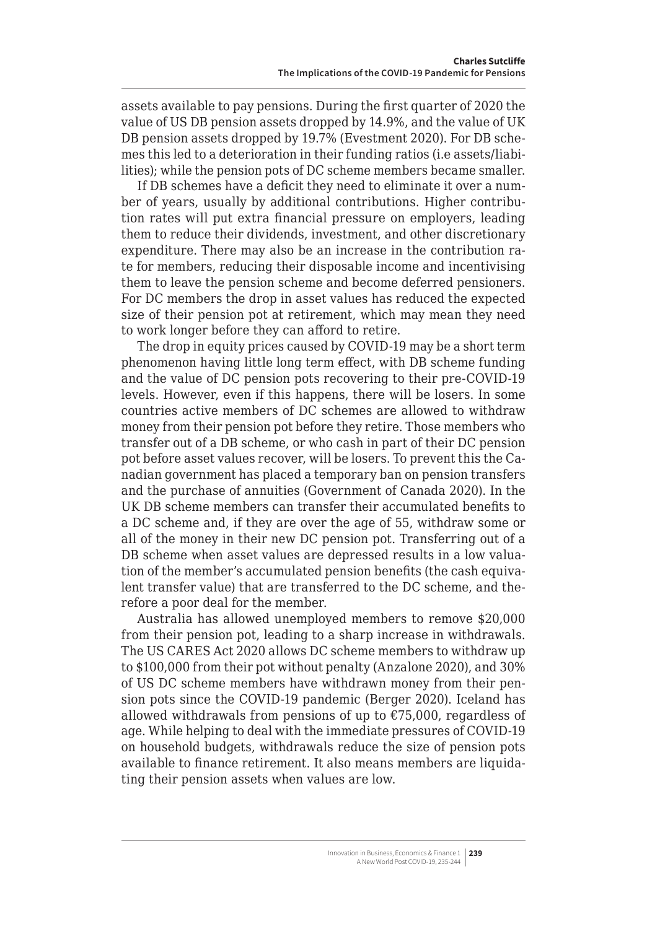assets available to pay pensions. During the first quarter of 2020 the value of US DB pension assets dropped by 14.9%, and the value of UK DB pension assets dropped by 19.7% (Evestment 2020). For DB schemes this led to a deterioration in their funding ratios (i.e assets/liabilities); while the pension pots of DC scheme members became smaller.

If DB schemes have a deficit they need to eliminate it over a number of years, usually by additional contributions. Higher contribution rates will put extra financial pressure on employers, leading them to reduce their dividends, investment, and other discretionary expenditure. There may also be an increase in the contribution rate for members, reducing their disposable income and incentivising them to leave the pension scheme and become deferred pensioners. For DC members the drop in asset values has reduced the expected size of their pension pot at retirement, which may mean they need to work longer before they can afford to retire.

The drop in equity prices caused by COVID-19 may be a short term phenomenon having little long term effect, with DB scheme funding and the value of DC pension pots recovering to their pre-COVID-19 levels. However, even if this happens, there will be losers. In some countries active members of DC schemes are allowed to withdraw money from their pension pot before they retire. Those members who transfer out of a DB scheme, or who cash in part of their DC pension pot before asset values recover, will be losers. To prevent this the Canadian government has placed a temporary ban on pension transfers and the purchase of annuities (Government of Canada 2020). In the UK DB scheme members can transfer their accumulated benefits to a DC scheme and, if they are over the age of 55, withdraw some or all of the money in their new DC pension pot. Transferring out of a DB scheme when asset values are depressed results in a low valuation of the member's accumulated pension benefits (the cash equivalent transfer value) that are transferred to the DC scheme, and therefore a poor deal for the member.

Australia has allowed unemployed members to remove \$20,000 from their pension pot, leading to a sharp increase in withdrawals. The US CARES Act 2020 allows DC scheme members to withdraw up to \$100,000 from their pot without penalty (Anzalone 2020), and 30% of US DC scheme members have withdrawn money from their pension pots since the COVID-19 pandemic (Berger 2020). Iceland has allowed withdrawals from pensions of up to  $\epsilon$ 75,000, regardless of age. While helping to deal with the immediate pressures of COVID-19 on household budgets, withdrawals reduce the size of pension pots available to finance retirement. It also means members are liquidating their pension assets when values are low.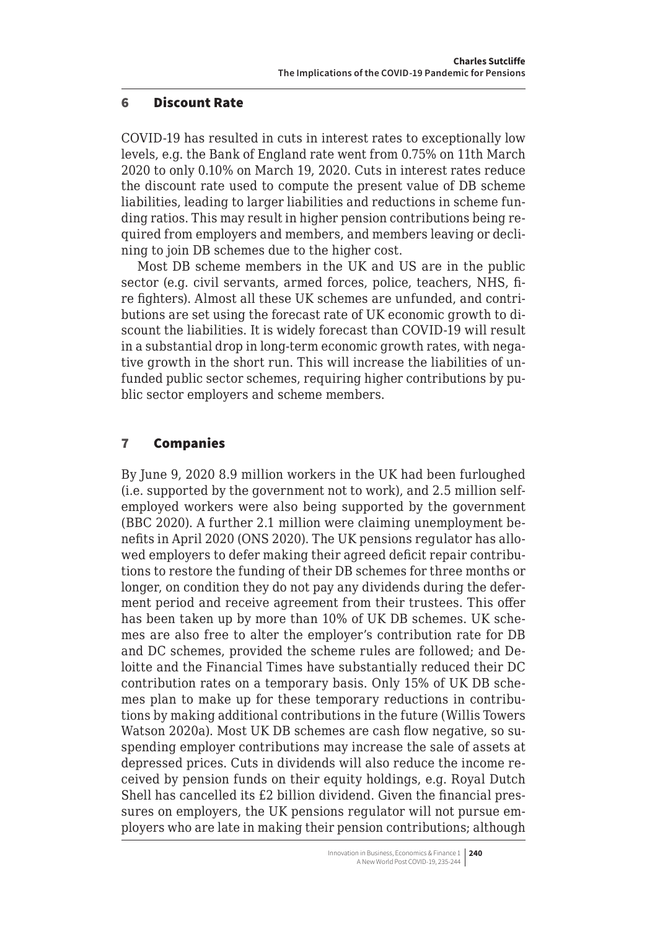#### <span id="page-5-0"></span>6 Discount Rate

COVID-19 has resulted in cuts in interest rates to exceptionally low levels, e.g. the Bank of England rate went from 0.75% on 11th March 2020 to only 0.10% on March 19, 2020. Cuts in interest rates reduce the discount rate used to compute the present value of DB scheme liabilities, leading to larger liabilities and reductions in scheme funding ratios. This may result in higher pension contributions being required from employers and members, and members leaving or declining to join DB schemes due to the higher cost.

Most DB scheme members in the UK and US are in the public sector (e.g. civil servants, armed forces, police, teachers, NHS, fire fighters). Almost all these UK schemes are unfunded, and contributions are set using the forecast rate of UK economic growth to discount the liabilities. It is widely forecast than COVID-19 will result in a substantial drop in long-term economic growth rates, with negative growth in the short run. This will increase the liabilities of unfunded public sector schemes, requiring higher contributions by public sector employers and scheme members.

## 7 Companies

By June 9, 2020 8.9 million workers in the UK had been furloughed (i.e. supported by the government not to work), and 2.5 million selfemployed workers were also being supported by the government (BBC 2020). A further 2.1 million were claiming unemployment benefits in April 2020 (ONS 2020). The UK pensions regulator has allowed employers to defer making their agreed deficit repair contributions to restore the funding of their DB schemes for three months or longer, on condition they do not pay any dividends during the deferment period and receive agreement from their trustees. This offer has been taken up by more than 10% of UK DB schemes. UK schemes are also free to alter the employer's contribution rate for DB and DC schemes, provided the scheme rules are followed; and Deloitte and the Financial Times have substantially reduced their DC contribution rates on a temporary basis. Only 15% of UK DB schemes plan to make up for these temporary reductions in contributions by making additional contributions in the future (Willis Towers Watson 2020a). Most UK DB schemes are cash flow negative, so suspending employer contributions may increase the sale of assets at depressed prices. Cuts in dividends will also reduce the income received by pension funds on their equity holdings, e.g. Royal Dutch Shell has cancelled its £2 billion dividend. Given the financial pressures on employers, the UK pensions regulator will not pursue employers who are late in making their pension contributions; although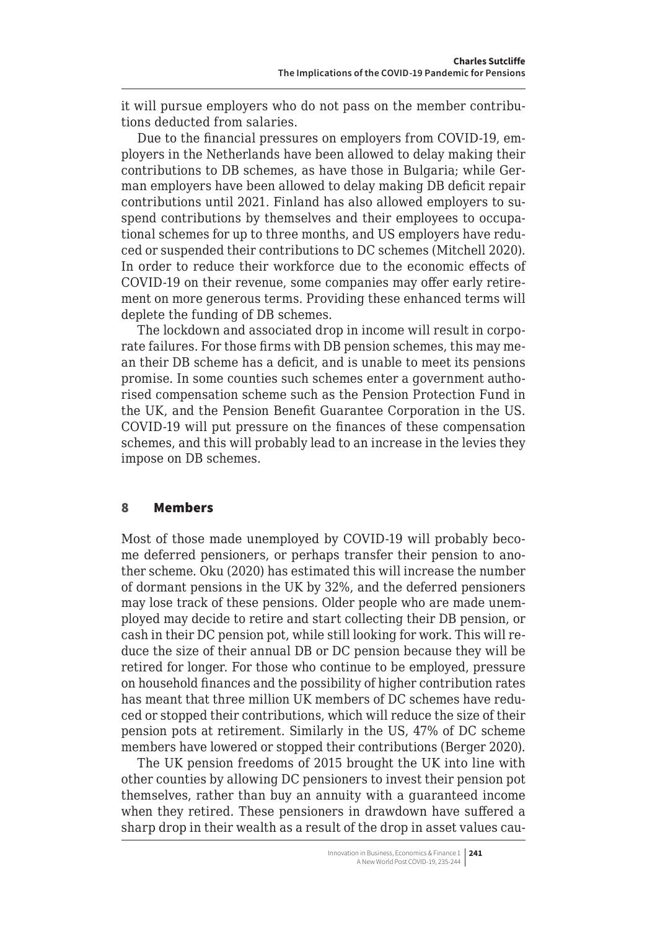<span id="page-6-0"></span>it will pursue employers who do not pass on the member contributions deducted from salaries.

Due to the financial pressures on employers from COVID-19, employers in the Netherlands have been allowed to delay making their contributions to DB schemes, as have those in Bulgaria; while German employers have been allowed to delay making DB deficit repair contributions until 2021. Finland has also allowed employers to suspend contributions by themselves and their employees to occupational schemes for up to three months, and US employers have reduced or suspended their contributions to DC schemes (Mitchell 2020). In order to reduce their workforce due to the economic effects of COVID-19 on their revenue, some companies may offer early retirement on more generous terms. Providing these enhanced terms will deplete the funding of DB schemes.

The lockdown and associated drop in income will result in corporate failures. For those firms with DB pension schemes, this may mean their DB scheme has a deficit, and is unable to meet its pensions promise. In some counties such schemes enter a government authorised compensation scheme such as the Pension Protection Fund in the UK, and the Pension Benefit Guarantee Corporation in the US. COVID-19 will put pressure on the finances of these compensation schemes, and this will probably lead to an increase in the levies they impose on DB schemes.

#### 8 Members

Most of those made unemployed by COVID-19 will probably become deferred pensioners, or perhaps transfer their pension to another scheme. Oku (2020) has estimated this will increase the number of dormant pensions in the UK by 32%, and the deferred pensioners may lose track of these pensions. Older people who are made unemployed may decide to retire and start collecting their DB pension, or cash in their DC pension pot, while still looking for work. This will reduce the size of their annual DB or DC pension because they will be retired for longer. For those who continue to be employed, pressure on household finances and the possibility of higher contribution rates has meant that three million UK members of DC schemes have reduced or stopped their contributions, which will reduce the size of their pension pots at retirement. Similarly in the US, 47% of DC scheme members have lowered or stopped their contributions (Berger 2020).

The UK pension freedoms of 2015 brought the UK into line with other counties by allowing DC pensioners to invest their pension pot themselves, rather than buy an annuity with a guaranteed income when they retired. These pensioners in drawdown have suffered a sharp drop in their wealth as a result of the drop in asset values cau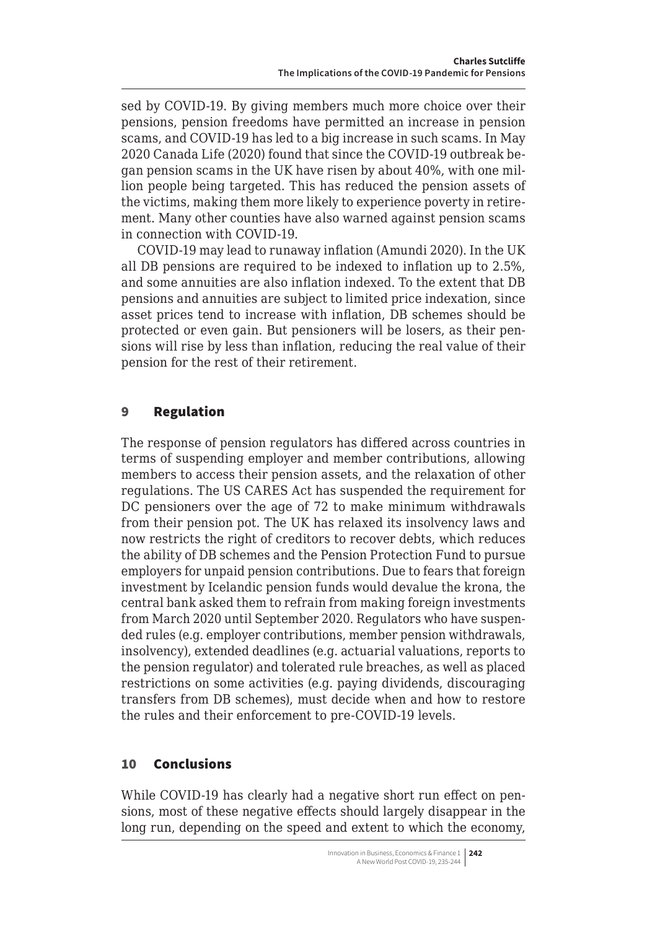<span id="page-7-0"></span>sed by COVID-19. By giving members much more choice over their pensions, pension freedoms have permitted an increase in pension scams, and COVID-19 has led to a big increase in such scams. In May 2020 Canada Life (2020) found that since the COVID-19 outbreak began pension scams in the UK have risen by about 40%, with one million people being targeted. This has reduced the pension assets of the victims, making them more likely to experience poverty in retirement. Many other counties have also warned against pension scams in connection with COVID-19.

COVID-19 may lead to runaway inflation (Amundi 2020). In the UK all DB pensions are required to be indexed to inflation up to 2.5%, and some annuities are also inflation indexed. To the extent that DB pensions and annuities are subject to limited price indexation, since asset prices tend to increase with inflation, DB schemes should be protected or even gain. But pensioners will be losers, as their pensions will rise by less than inflation, reducing the real value of their pension for the rest of their retirement.

## 9 Regulation

The response of pension regulators has differed across countries in terms of suspending employer and member contributions, allowing members to access their pension assets, and the relaxation of other regulations. The US CARES Act has suspended the requirement for DC pensioners over the age of 72 to make minimum withdrawals from their pension pot. The UK has relaxed its insolvency laws and now restricts the right of creditors to recover debts, which reduces the ability of DB schemes and the Pension Protection Fund to pursue employers for unpaid pension contributions. Due to fears that foreign investment by Icelandic pension funds would devalue the krona, the central bank asked them to refrain from making foreign investments from March 2020 until September 2020. Regulators who have suspended rules (e.g. employer contributions, member pension withdrawals, insolvency), extended deadlines (e.g. actuarial valuations, reports to the pension regulator) and tolerated rule breaches, as well as placed restrictions on some activities (e.g. paying dividends, discouraging transfers from DB schemes), must decide when and how to restore the rules and their enforcement to pre-COVID-19 levels.

## 10 Conclusions

While COVID-19 has clearly had a negative short run effect on pensions, most of these negative effects should largely disappear in the long run, depending on the speed and extent to which the economy,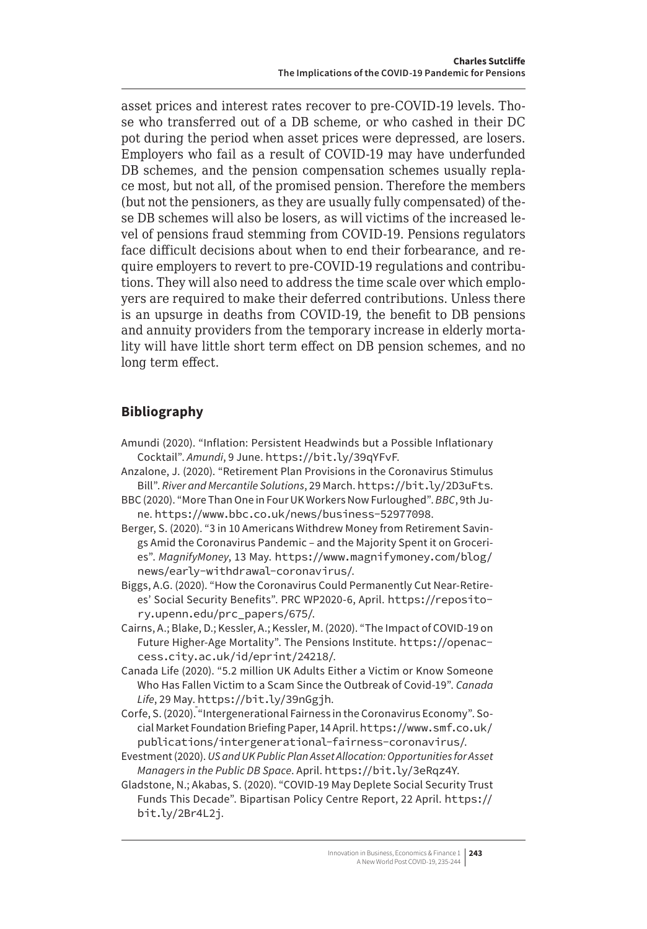asset prices and interest rates recover to pre-COVID-19 levels. Those who transferred out of a DB scheme, or who cashed in their DC pot during the period when asset prices were depressed, are losers. Employers who fail as a result of COVID-19 may have underfunded DB schemes, and the pension compensation schemes usually replace most, but not all, of the promised pension. Therefore the members (but not the pensioners, as they are usually fully compensated) of these DB schemes will also be losers, as will victims of the increased level of pensions fraud stemming from COVID-19. Pensions regulators face difficult decisions about when to end their forbearance, and require employers to revert to pre-COVID-19 regulations and contributions. They will also need to address the time scale over which employers are required to make their deferred contributions. Unless there is an upsurge in deaths from COVID-19, the benefit to DB pensions and annuity providers from the temporary increase in elderly mortality will have little short term effect on DB pension schemes, and no long term effect.

# **Bibliography**

- Amundi (2020). "Inflation: Persistent Headwinds but a Possible Inflationary Cocktail". *Amundi*, 9 June. https://bit.ly/39qYFvF.
- Anzalone, J. (2020). "Retirement Plan Provisions in the Coronavirus Stimulus Bill". *River and Mercantile Solutions*, 29 March. https://bit.ly/2D3uFts.
- BBC (2020). "More Than One in Four UK Workers Now Furloughed". *BBC*, 9th June. <https://www.bbc.co.uk/news/business-52977098>.
- Berger, S. (2020). "3 in 10 Americans Withdrew Money from Retirement Savings Amid the Coronavirus Pandemic – and the Majority Spent it on Groceries". *MagnifyMoney*, 13 May. [https://www.magnifymoney.com/blog/](https://www.magnifymoney.com/blog/news/early-withdrawal-coronavirus/) [news/early-withdrawal-coronavirus/](https://www.magnifymoney.com/blog/news/early-withdrawal-coronavirus/).
- Biggs, A.G. (2020). "How the Coronavirus Could Permanently Cut Near-Retirees' Social Security Benefits". PRC WP2020-6, April. [https://reposito](https://repository.upenn.edu/prc_papers/675/)[ry.upenn.edu/prc\\_papers/675/](https://repository.upenn.edu/prc_papers/675/).
- Cairns, A.; Blake, D.; Kessler, A.; Kessler, M. (2020). "The Impact of COVID-19 on Future Higher-Age Mortality". The Pensions Institute. [https://openac](https://openaccess.city.ac.uk/id/eprint/24218/)[cess.city.ac.uk/id/eprint/24218/](https://openaccess.city.ac.uk/id/eprint/24218/).
- Canada Life (2020). "5.2 million UK Adults Either a Victim or Know Someone Who Has Fallen Victim to a Scam Since the Outbreak of Covid-19". *Canada Life*, 29 May. https://bit.ly/39nGgjh.
- Corfe, S. (2020). "Intergenerational Fairness in the Coronavirus Economy". Social Market Foundation Briefing Paper, 14 April. [https://www.smf.co.uk/](https://www.smf.co.uk/publications/intergenerational-fairness-coronavirus/) [publications/intergenerational-fairness-coronavirus/](https://www.smf.co.uk/publications/intergenerational-fairness-coronavirus/).
- Evestment (2020). *US and UK Public Plan Asset Allocation: Opportunities for Asset Managers in the Public DB Space*. April. https://bit.ly/3eRqz4Y.
- Gladstone, N.; Akabas, S. (2020). "COVID-19 May Deplete Social Security Trust Funds This Decade". Bipartisan Policy Centre Report, 22 April. https:// bit.ly/2Br4L2j.